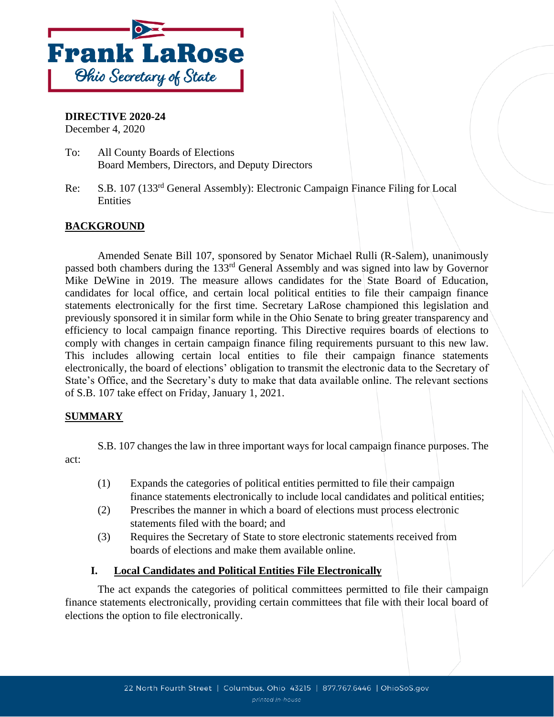

## **DIRECTIVE 2020-24**

December 4, 2020

- To: All County Boards of Elections Board Members, Directors, and Deputy Directors
- Re: S.B. 107 (133rd General Assembly): Electronic Campaign Finance Filing for Local **Entities**

## **BACKGROUND**

Amended Senate Bill 107, sponsored by Senator Michael Rulli (R-Salem), unanimously passed both chambers during the 133rd General Assembly and was signed into law by Governor Mike DeWine in 2019. The measure allows candidates for the State Board of Education, candidates for local office, and certain local political entities to file their campaign finance statements electronically for the first time. Secretary LaRose championed this legislation and previously sponsored it in similar form while in the Ohio Senate to bring greater transparency and efficiency to local campaign finance reporting. This Directive requires boards of elections to comply with changes in certain campaign finance filing requirements pursuant to this new law. This includes allowing certain local entities to file their campaign finance statements electronically, the board of elections' obligation to transmit the electronic data to the Secretary of State's Office, and the Secretary's duty to make that data available online. The relevant sections of S.B. 107 take effect on Friday, January 1, 2021.

### **SUMMARY**

S.B. 107 changes the law in three important ways for local campaign finance purposes. The act:

- (1) Expands the categories of political entities permitted to file their campaign finance statements electronically to include local candidates and political entities;
- (2) Prescribes the manner in which a board of elections must process electronic statements filed with the board; and
- (3) Requires the Secretary of State to store electronic statements received from boards of elections and make them available online.

#### **I. Local Candidates and Political Entities File Electronically**

The act expands the categories of political committees permitted to file their campaign finance statements electronically, providing certain committees that file with their local board of elections the option to file electronically.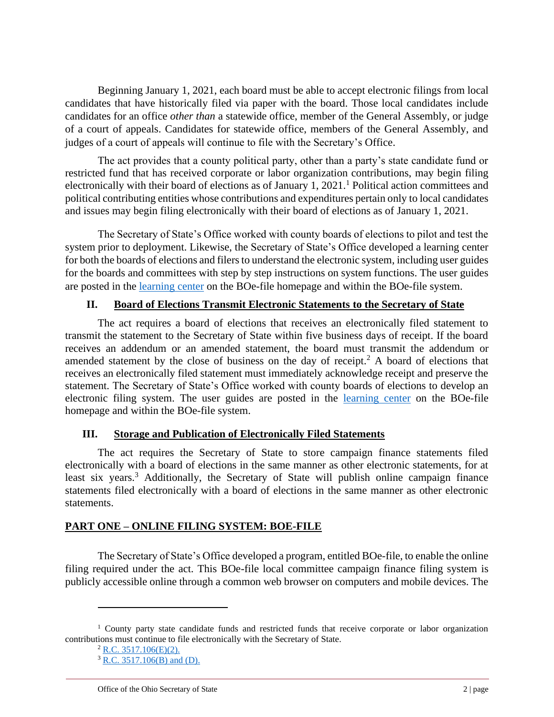Beginning January 1, 2021, each board must be able to accept electronic filings from local candidates that have historically filed via paper with the board. Those local candidates include candidates for an office *other than* a statewide office, member of the General Assembly, or judge of a court of appeals. Candidates for statewide office, members of the General Assembly, and judges of a court of appeals will continue to file with the Secretary's Office.

The act provides that a county political party, other than a party's state candidate fund or restricted fund that has received corporate or labor organization contributions, may begin filing electronically with their board of elections as of January 1,  $2021$ .<sup>1</sup> Political action committees and political contributing entities whose contributions and expenditures pertain only to local candidates and issues may begin filing electronically with their board of elections as of January 1, 2021.

The Secretary of State's Office worked with county boards of elections to pilot and test the system prior to deployment. Likewise, the Secretary of State's Office developed a learning center for both the boards of elections and filers to understand the electronic system, including user guides for the boards and committees with step by step instructions on system functions. The user guides are posted in the [learning center](https://boefileapp.ohiosos.gov/ords/f?p=BOEFILE:LEARNCTR) on the BOe-file homepage and within the BOe-file system.

## **II. Board of Elections Transmit Electronic Statements to the Secretary of State**

The act requires a board of elections that receives an electronically filed statement to transmit the statement to the Secretary of State within five business days of receipt. If the board receives an addendum or an amended statement, the board must transmit the addendum or amended statement by the close of business on the day of receipt.<sup>2</sup> A board of elections that receives an electronically filed statement must immediately acknowledge receipt and preserve the statement. The Secretary of State's Office worked with county boards of elections to develop an electronic filing system. The user guides are posted in the [learning center](https://boefileapp.ohiosos.gov/ords/f?p=BOEFILE:LEARNCTR) on the BOe-file homepage and within the BOe-file system.

### **III. Storage and Publication of Electronically Filed Statements**

The act requires the Secretary of State to store campaign finance statements filed electronically with a board of elections in the same manner as other electronic statements, for at least six years.<sup>3</sup> Additionally, the Secretary of State will publish online campaign finance statements filed electronically with a board of elections in the same manner as other electronic statements.

# **PART ONE – ONLINE FILING SYSTEM: BOE-FILE**

The Secretary of State's Office developed a program, entitled BOe-file, to enable the online filing required under the act. This BOe-file local committee campaign finance filing system is publicly accessible online through a common web browser on computers and mobile devices. The

<sup>&</sup>lt;sup>1</sup> County party state candidate funds and restricted funds that receive corporate or labor organization contributions must continue to file electronically with the Secretary of State.

 $2$  [R.C. 3517.106\(E\)\(2\).](https://codes.ohio.gov/orc/3517.106v2)

 $3 \overline{R.C. 3517.106(B) \text{ and } (D)}$ .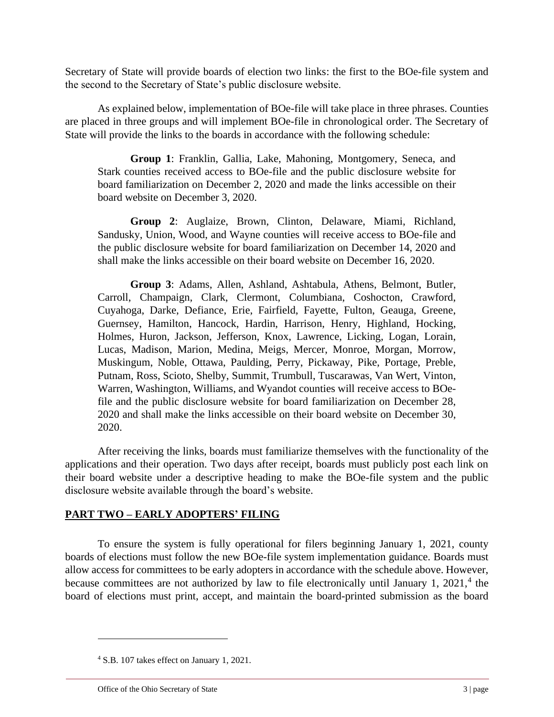Secretary of State will provide boards of election two links: the first to the BOe-file system and the second to the Secretary of State's public disclosure website.

As explained below, implementation of BOe-file will take place in three phrases. Counties are placed in three groups and will implement BOe-file in chronological order. The Secretary of State will provide the links to the boards in accordance with the following schedule:

**Group 1**: Franklin, Gallia, Lake, Mahoning, Montgomery, Seneca, and Stark counties received access to BOe-file and the public disclosure website for board familiarization on December 2, 2020 and made the links accessible on their board website on December 3, 2020.

**Group 2**: Auglaize, Brown, Clinton, Delaware, Miami, Richland, Sandusky, Union, Wood, and Wayne counties will receive access to BOe-file and the public disclosure website for board familiarization on December 14, 2020 and shall make the links accessible on their board website on December 16, 2020.

**Group 3**: Adams, Allen, Ashland, Ashtabula, Athens, Belmont, Butler, Carroll, Champaign, Clark, Clermont, Columbiana, Coshocton, Crawford, Cuyahoga, Darke, Defiance, Erie, Fairfield, Fayette, Fulton, Geauga, Greene, Guernsey, Hamilton, Hancock, Hardin, Harrison, Henry, Highland, Hocking, Holmes, Huron, Jackson, Jefferson, Knox, Lawrence, Licking, Logan, Lorain, Lucas, Madison, Marion, Medina, Meigs, Mercer, Monroe, Morgan, Morrow, Muskingum, Noble, Ottawa, Paulding, Perry, Pickaway, Pike, Portage, Preble, Putnam, Ross, Scioto, Shelby, Summit, Trumbull, Tuscarawas, Van Wert, Vinton, Warren, Washington, Williams, and Wyandot counties will receive access to BOefile and the public disclosure website for board familiarization on December 28, 2020 and shall make the links accessible on their board website on December 30, 2020.

After receiving the links, boards must familiarize themselves with the functionality of the applications and their operation. Two days after receipt, boards must publicly post each link on their board website under a descriptive heading to make the BOe-file system and the public disclosure website available through the board's website.

### **PART TWO – EARLY ADOPTERS' FILING**

To ensure the system is fully operational for filers beginning January 1, 2021, county boards of elections must follow the new BOe-file system implementation guidance. Boards must allow access for committees to be early adopters in accordance with the schedule above. However, because committees are not authorized by law to file electronically until January 1,  $2021$ ,<sup>4</sup> the board of elections must print, accept, and maintain the board-printed submission as the board

<sup>4</sup> S.B. 107 takes effect on January 1, 2021.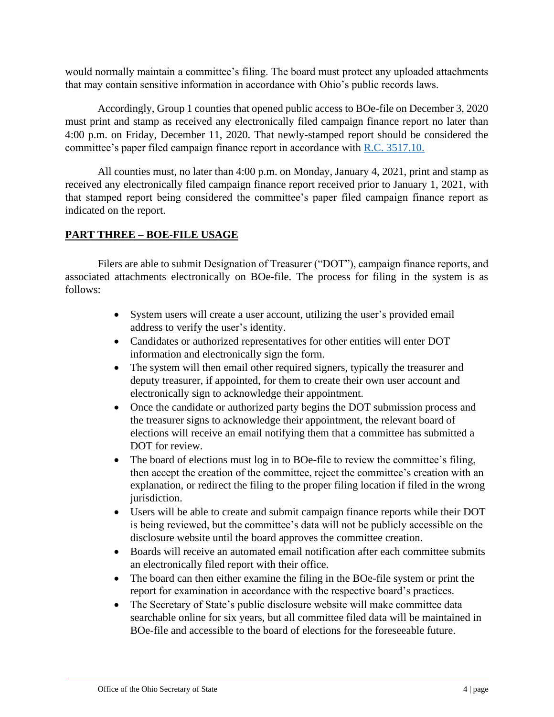would normally maintain a committee's filing. The board must protect any uploaded attachments that may contain sensitive information in accordance with Ohio's public records laws.

Accordingly, Group 1 counties that opened public access to BOe-file on December 3, 2020 must print and stamp as received any electronically filed campaign finance report no later than 4:00 p.m. on Friday, December 11, 2020. That newly-stamped report should be considered the committee's paper filed campaign finance report in accordance with [R.C. 3517.10.](http://codes.ohio.gov/orc/3517.10v2) 

All counties must, no later than 4:00 p.m. on Monday, January 4, 2021, print and stamp as received any electronically filed campaign finance report received prior to January 1, 2021, with that stamped report being considered the committee's paper filed campaign finance report as indicated on the report.

# **PART THREE – BOE-FILE USAGE**

Filers are able to submit Designation of Treasurer ("DOT"), campaign finance reports, and associated attachments electronically on BOe-file. The process for filing in the system is as follows:

- System users will create a user account, utilizing the user's provided email address to verify the user's identity.
- Candidates or authorized representatives for other entities will enter DOT information and electronically sign the form.
- The system will then email other required signers, typically the treasurer and deputy treasurer, if appointed, for them to create their own user account and electronically sign to acknowledge their appointment.
- Once the candidate or authorized party begins the DOT submission process and the treasurer signs to acknowledge their appointment, the relevant board of elections will receive an email notifying them that a committee has submitted a DOT for review.
- The board of elections must log in to BOe-file to review the committee's filing, then accept the creation of the committee, reject the committee's creation with an explanation, or redirect the filing to the proper filing location if filed in the wrong jurisdiction.
- Users will be able to create and submit campaign finance reports while their DOT is being reviewed, but the committee's data will not be publicly accessible on the disclosure website until the board approves the committee creation.
- Boards will receive an automated email notification after each committee submits an electronically filed report with their office.
- The board can then either examine the filing in the BOe-file system or print the report for examination in accordance with the respective board's practices.
- The Secretary of State's public disclosure website will make committee data searchable online for six years, but all committee filed data will be maintained in BOe-file and accessible to the board of elections for the foreseeable future.